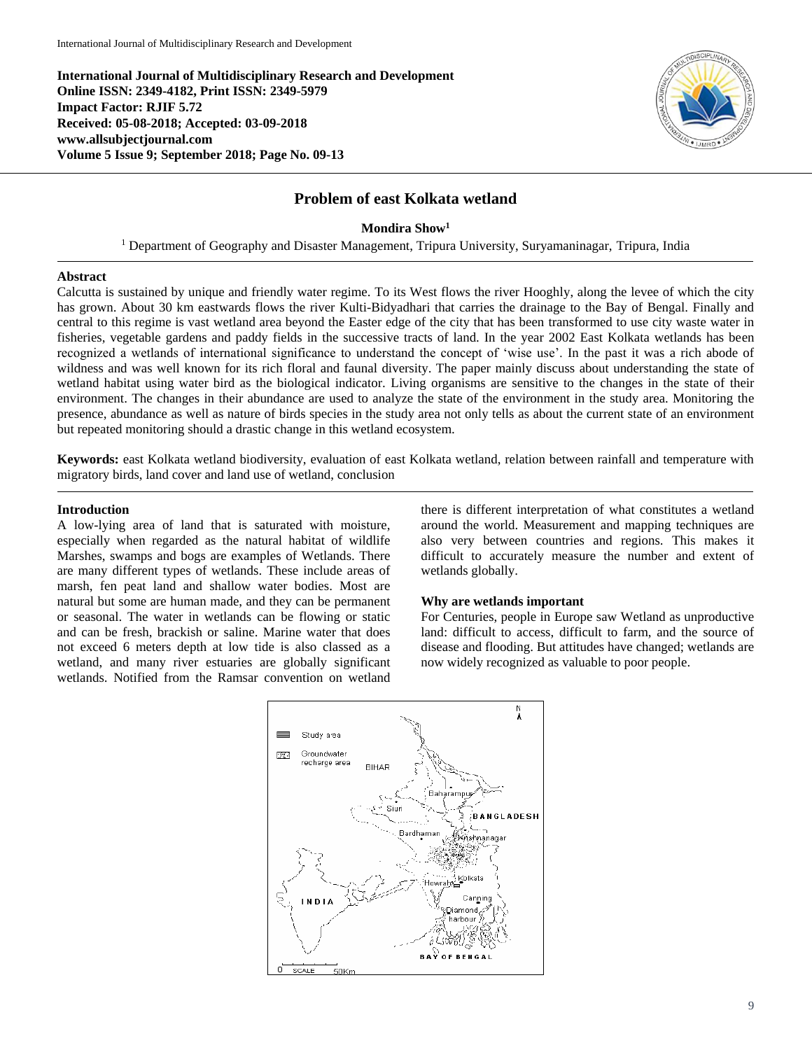**International Journal of Multidisciplinary Research and Development Online ISSN: 2349-4182, Print ISSN: 2349-5979 Impact Factor: RJIF 5.72 Received: 05-08-2018; Accepted: 03-09-2018 www.allsubjectjournal.com Volume 5 Issue 9; September 2018; Page No. 09-13**



# **Problem of east Kolkata wetland**

**Mondira Show<sup>1</sup>**

<sup>1</sup> Department of Geography and Disaster Management, Tripura University, Suryamaninagar, Tripura, India

### **Abstract**

Calcutta is sustained by unique and friendly water regime. To its West flows the river Hooghly, along the levee of which the city has grown. About 30 km eastwards flows the river Kulti-Bidyadhari that carries the drainage to the Bay of Bengal. Finally and central to this regime is vast wetland area beyond the Easter edge of the city that has been transformed to use city waste water in fisheries, vegetable gardens and paddy fields in the successive tracts of land. In the year 2002 East Kolkata wetlands has been recognized a wetlands of international significance to understand the concept of 'wise use'. In the past it was a rich abode of wildness and was well known for its rich floral and faunal diversity. The paper mainly discuss about understanding the state of wetland habitat using water bird as the biological indicator. Living organisms are sensitive to the changes in the state of their environment. The changes in their abundance are used to analyze the state of the environment in the study area. Monitoring the presence, abundance as well as nature of birds species in the study area not only tells as about the current state of an environment but repeated monitoring should a drastic change in this wetland ecosystem.

**Keywords:** east Kolkata wetland biodiversity, evaluation of east Kolkata wetland, relation between rainfall and temperature with migratory birds, land cover and land use of wetland, conclusion

#### **Introduction**

A low-lying area of land that is saturated with moisture, especially when regarded as the natural habitat of wildlife Marshes, swamps and bogs are examples of Wetlands. There are many different types of wetlands. These include areas of marsh, fen peat land and shallow water bodies. Most are natural but some are human made, and they can be permanent or seasonal. The water in wetlands can be flowing or static and can be fresh, brackish or saline. Marine water that does not exceed 6 meters depth at low tide is also classed as a wetland, and many river estuaries are globally significant wetlands. Notified from the Ramsar convention on wetland there is different interpretation of what constitutes a wetland around the world. Measurement and mapping techniques are also very between countries and regions. This makes it difficult to accurately measure the number and extent of wetlands globally.

#### **Why are wetlands important**

For Centuries, people in Europe saw Wetland as unproductive land: difficult to access, difficult to farm, and the source of disease and flooding. But attitudes have changed; wetlands are now widely recognized as valuable to poor people.

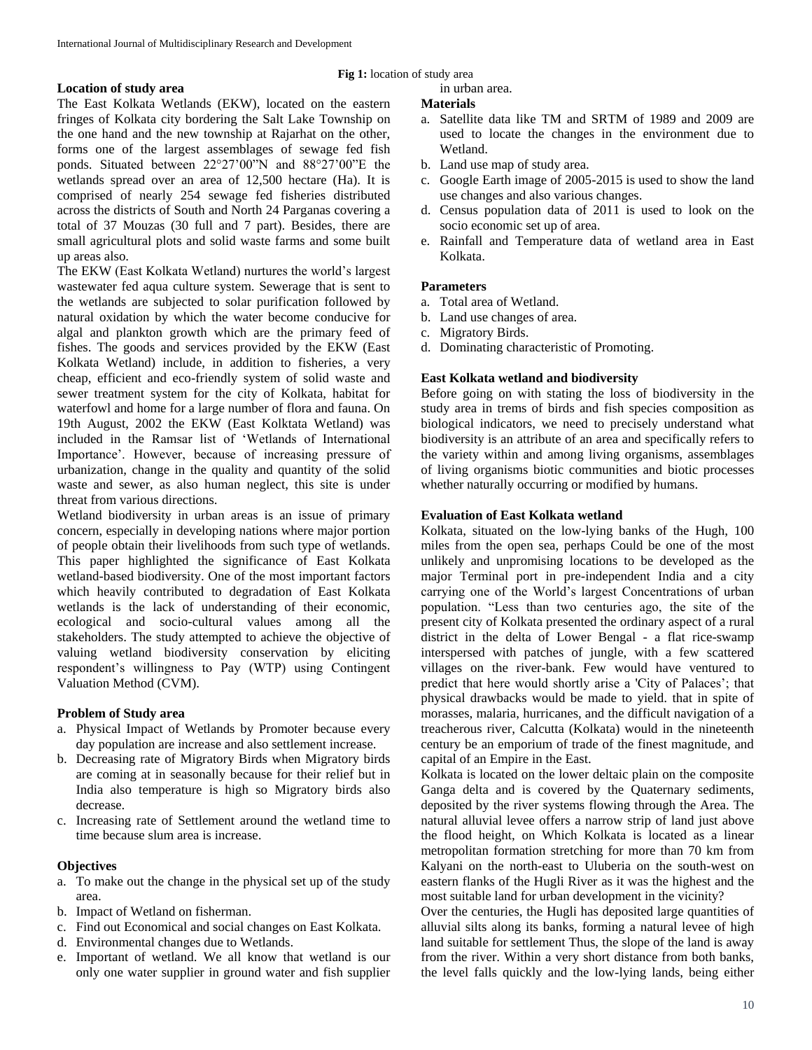# **Location of study area**

The East Kolkata Wetlands (EKW), located on the eastern fringes of Kolkata city bordering the Salt Lake Township on the one hand and the new township at Rajarhat on the other, forms one of the largest assemblages of sewage fed fish ponds. Situated between 22°27'00"N and 88°27'00"E the wetlands spread over an area of 12,500 hectare (Ha). It is comprised of nearly 254 sewage fed fisheries distributed across the districts of South and North 24 Parganas covering a total of 37 Mouzas (30 full and 7 part). Besides, there are small agricultural plots and solid waste farms and some built up areas also.

The EKW (East Kolkata Wetland) nurtures the world's largest wastewater fed aqua culture system. Sewerage that is sent to the wetlands are subjected to solar purification followed by natural oxidation by which the water become conducive for algal and plankton growth which are the primary feed of fishes. The goods and services provided by the EKW (East Kolkata Wetland) include, in addition to fisheries, a very cheap, efficient and eco-friendly system of solid waste and sewer treatment system for the city of Kolkata, habitat for waterfowl and home for a large number of flora and fauna. On 19th August, 2002 the EKW (East Kolktata Wetland) was included in the Ramsar list of 'Wetlands of International Importance'. However, because of increasing pressure of urbanization, change in the quality and quantity of the solid waste and sewer, as also human neglect, this site is under threat from various directions.

Wetland biodiversity in urban areas is an issue of primary concern, especially in developing nations where major portion of people obtain their livelihoods from such type of wetlands. This paper highlighted the significance of East Kolkata wetland-based biodiversity. One of the most important factors which heavily contributed to degradation of East Kolkata wetlands is the lack of understanding of their economic, ecological and socio-cultural values among all the stakeholders. The study attempted to achieve the objective of valuing wetland biodiversity conservation by eliciting respondent's willingness to Pay (WTP) using Contingent Valuation Method (CVM).

### **Problem of Study area**

- a. Physical Impact of Wetlands by Promoter because every day population are increase and also settlement increase.
- b. Decreasing rate of Migratory Birds when Migratory birds are coming at in seasonally because for their relief but in India also temperature is high so Migratory birds also decrease.
- c. Increasing rate of Settlement around the wetland time to time because slum area is increase.

### **Objectives**

- a. To make out the change in the physical set up of the study area.
- b. Impact of Wetland on fisherman.
- c. Find out Economical and social changes on East Kolkata.
- d. Environmental changes due to Wetlands.
- e. Important of wetland. We all know that wetland is our only one water supplier in ground water and fish supplier

#### **Fig 1:** location of study area

in urban area.

### **Materials**

- a. Satellite data like TM and SRTM of 1989 and 2009 are used to locate the changes in the environment due to Wetland.
- b. Land use map of study area.
- c. Google Earth image of 2005-2015 is used to show the land use changes and also various changes.
- d. Census population data of 2011 is used to look on the socio economic set up of area.
- e. Rainfall and Temperature data of wetland area in East Kolkata.

### **Parameters**

- a. Total area of Wetland.
- b. Land use changes of area.
- c. Migratory Birds.
- d. Dominating characteristic of Promoting.

# **East Kolkata wetland and biodiversity**

Before going on with stating the loss of biodiversity in the study area in trems of birds and fish species composition as biological indicators, we need to precisely understand what biodiversity is an attribute of an area and specifically refers to the variety within and among living organisms, assemblages of living organisms biotic communities and biotic processes whether naturally occurring or modified by humans.

#### **Evaluation of East Kolkata wetland**

Kolkata, situated on the low-lying banks of the Hugh, 100 miles from the open sea, perhaps Could be one of the most unlikely and unpromising locations to be developed as the major Terminal port in pre-independent India and a city carrying one of the World's largest Concentrations of urban population. "Less than two centuries ago, the site of the present city of Kolkata presented the ordinary aspect of a rural district in the delta of Lower Bengal - a flat rice-swamp interspersed with patches of jungle, with a few scattered villages on the river-bank. Few would have ventured to predict that here would shortly arise a 'City of Palaces'; that physical drawbacks would be made to yield. that in spite of morasses, malaria, hurricanes, and the difficult navigation of a treacherous river, Calcutta (Kolkata) would in the nineteenth century be an emporium of trade of the finest magnitude, and capital of an Empire in the East.

Kolkata is located on the lower deltaic plain on the composite Ganga delta and is covered by the Quaternary sediments, deposited by the river systems flowing through the Area. The natural alluvial levee offers a narrow strip of land just above the flood height, on Which Kolkata is located as a linear metropolitan formation stretching for more than 70 km from Kalyani on the north-east to Uluberia on the south-west on eastern flanks of the Hugli River as it was the highest and the most suitable land for urban development in the vicinity?

Over the centuries, the Hugli has deposited large quantities of alluvial silts along its banks, forming a natural levee of high land suitable for settlement Thus, the slope of the land is away from the river. Within a very short distance from both banks, the level falls quickly and the low-lying lands, being either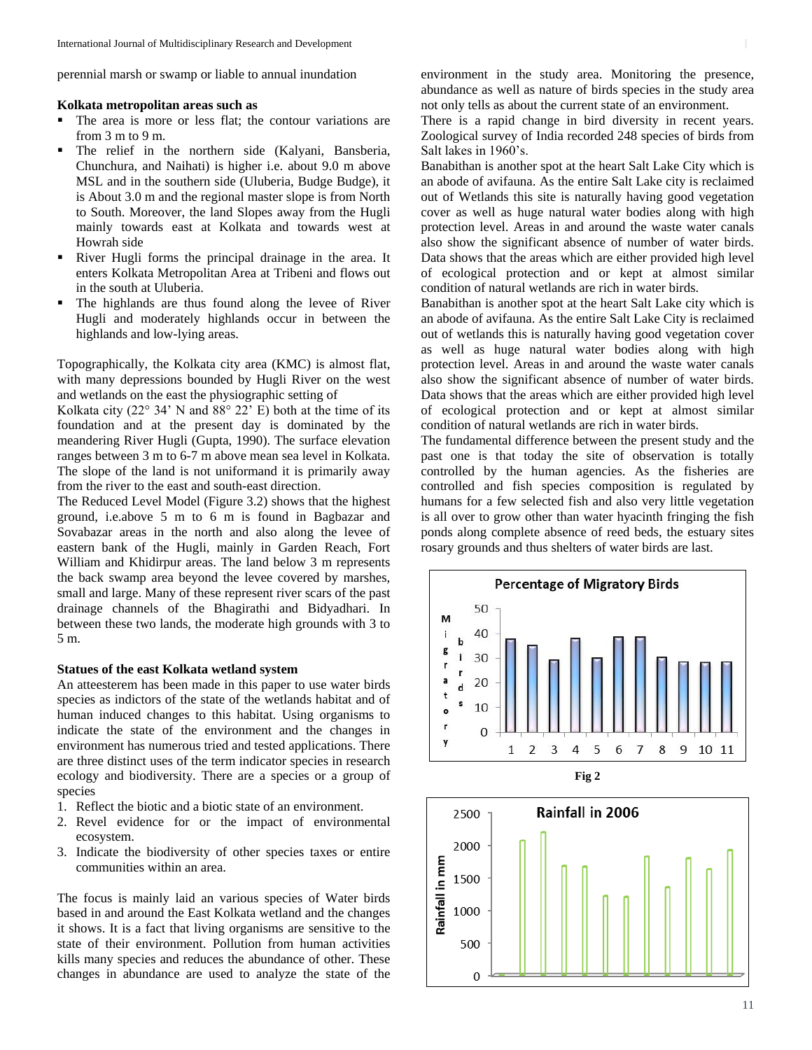perennial marsh or swamp or liable to annual inundation

#### **Kolkata metropolitan areas such as**

- The area is more or less flat; the contour variations are from 3 m to 9 m.
- The relief in the northern side (Kalyani, Bansberia, Chunchura, and Naihati) is higher i.e. about 9.0 m above MSL and in the southern side (Uluberia, Budge Budge), it is About 3.0 m and the regional master slope is from North to South. Moreover, the land Slopes away from the Hugli mainly towards east at Kolkata and towards west at Howrah side
- River Hugli forms the principal drainage in the area. It enters Kolkata Metropolitan Area at Tribeni and flows out in the south at Uluberia.
- The highlands are thus found along the levee of River Hugli and moderately highlands occur in between the highlands and low-lying areas.

Topographically, the Kolkata city area (KMC) is almost flat, with many depressions bounded by Hugli River on the west and wetlands on the east the physiographic setting of

Kolkata city (22 $\degree$  34' N and 88 $\degree$  22' E) both at the time of its foundation and at the present day is dominated by the meandering River Hugli (Gupta, 1990). The surface elevation ranges between 3 m to 6-7 m above mean sea level in Kolkata. The slope of the land is not uniformand it is primarily away from the river to the east and south-east direction.

The Reduced Level Model (Figure 3.2) shows that the highest ground, i.e.above 5 m to 6 m is found in Bagbazar and Sovabazar areas in the north and also along the levee of eastern bank of the Hugli, mainly in Garden Reach, Fort William and Khidirpur areas. The land below 3 m represents the back swamp area beyond the levee covered by marshes, small and large. Many of these represent river scars of the past drainage channels of the Bhagirathi and Bidyadhari. In between these two lands, the moderate high grounds with 3 to 5 m.

# **Statues of the east Kolkata wetland system**

An atteesterem has been made in this paper to use water birds species as indictors of the state of the wetlands habitat and of human induced changes to this habitat. Using organisms to indicate the state of the environment and the changes in environment has numerous tried and tested applications. There are three distinct uses of the term indicator species in research ecology and biodiversity. There are a species or a group of species

- 1. Reflect the biotic and a biotic state of an environment.
- 2. Revel evidence for or the impact of environmental ecosystem.
- 3. Indicate the biodiversity of other species taxes or entire communities within an area.

The focus is mainly laid an various species of Water birds based in and around the East Kolkata wetland and the changes it shows. It is a fact that living organisms are sensitive to the state of their environment. Pollution from human activities kills many species and reduces the abundance of other. These changes in abundance are used to analyze the state of the

environment in the study area. Monitoring the presence, abundance as well as nature of birds species in the study area not only tells as about the current state of an environment.

There is a rapid change in bird diversity in recent years. Zoological survey of India recorded 248 species of birds from Salt lakes in 1960's.

Banabithan is another spot at the heart Salt Lake City which is an abode of avifauna. As the entire Salt Lake city is reclaimed out of Wetlands this site is naturally having good vegetation cover as well as huge natural water bodies along with high protection level. Areas in and around the waste water canals also show the significant absence of number of water birds. Data shows that the areas which are either provided high level of ecological protection and or kept at almost similar condition of natural wetlands are rich in water birds.

Banabithan is another spot at the heart Salt Lake city which is an abode of avifauna. As the entire Salt Lake City is reclaimed out of wetlands this is naturally having good vegetation cover as well as huge natural water bodies along with high protection level. Areas in and around the waste water canals also show the significant absence of number of water birds. Data shows that the areas which are either provided high level of ecological protection and or kept at almost similar condition of natural wetlands are rich in water birds.

The fundamental difference between the present study and the past one is that today the site of observation is totally controlled by the human agencies. As the fisheries are controlled and fish species composition is regulated by humans for a few selected fish and also very little vegetation is all over to grow other than water hyacinth fringing the fish ponds along complete absence of reed beds, the estuary sites rosary grounds and thus shelters of water birds are last.





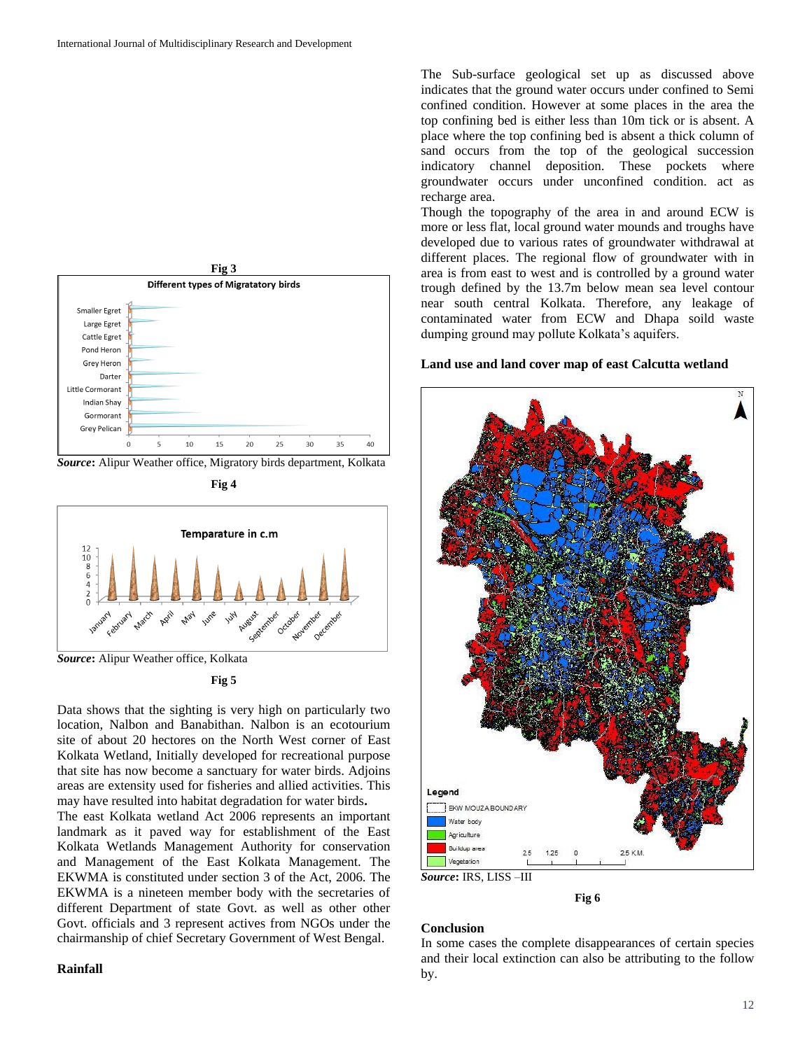

*Source***:** Alipur Weather office, Migratory birds department, Kolkata







Data shows that the sighting is very high on particularly two location, Nalbon and Banabithan. Nalbon is an ecotourium site of about 20 hectores on the North West corner of East Kolkata Wetland, Initially developed for recreational purpose that site has now become a sanctuary for water birds. Adjoins areas are extensity used for fisheries and allied activities. This may have resulted into habitat degradation for water birds**.**

The east Kolkata wetland Act 2006 represents an important landmark as it paved way for establishment of the East Kolkata Wetlands Management Authority for conservation and Management of the East Kolkata Management. The EKWMA is constituted under section 3 of the Act, 2006. The EKWMA is a nineteen member body with the secretaries of different Department of state Govt. as well as other other Govt. officials and 3 represent actives from NGOs under the chairmanship of chief Secretary Government of West Bengal.

#### **Rainfall**

The Sub-surface geological set up as discussed above indicates that the ground water occurs under confined to Semi confined condition. However at some places in the area the top confining bed is either less than 10m tick or is absent. A place where the top confining bed is absent a thick column of sand occurs from the top of the geological succession indicatory channel deposition. These pockets where groundwater occurs under unconfined condition. act as recharge area.

Though the topography of the area in and around ECW is more or less flat, local ground water mounds and troughs have developed due to various rates of groundwater withdrawal at different places. The regional flow of groundwater with in area is from east to west and is controlled by a ground water trough defined by the 13.7m below mean sea level contour near south central Kolkata. Therefore, any leakage of contaminated water from ECW and Dhapa soild waste dumping ground may pollute Kolkata's aquifers.

#### **Land use and land cover map of east Calcutta wetland**



**Fig 6**

# **Conclusion**

In some cases the complete disappearances of certain species and their local extinction can also be attributing to the follow by.